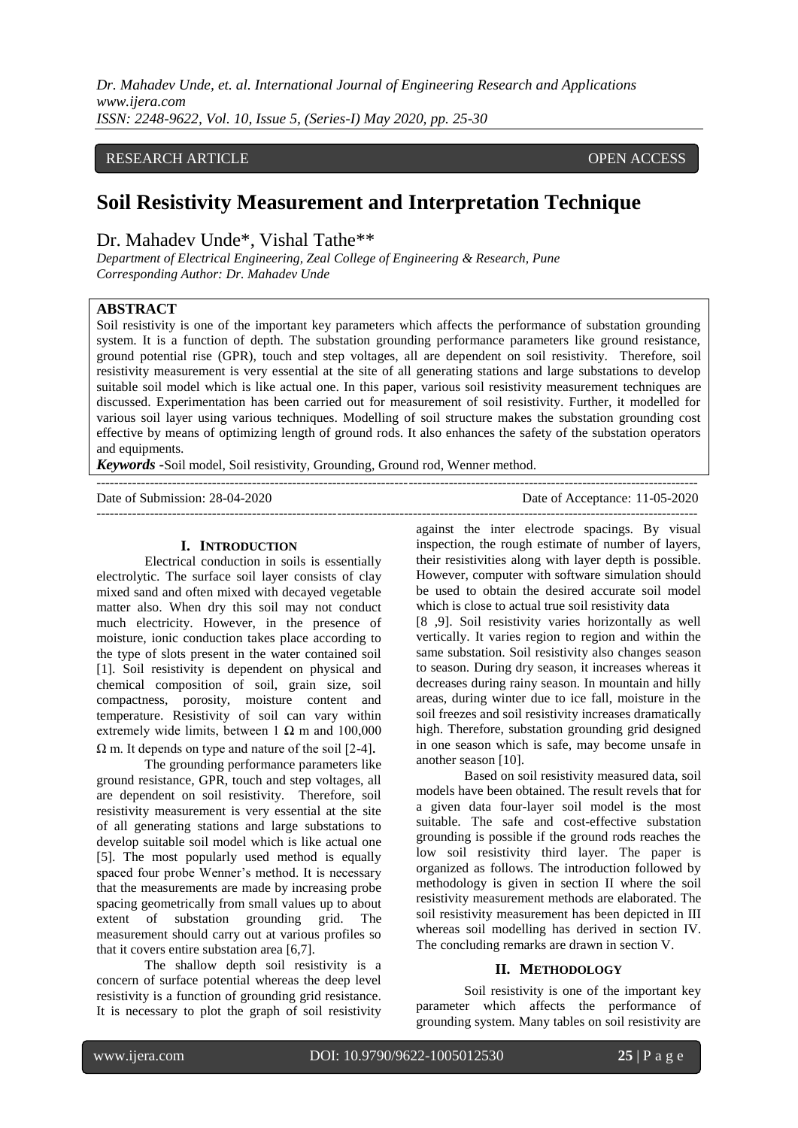*Dr. Mahadev Unde, et. al. International Journal of Engineering Research and Applications www.ijera.com ISSN: 2248-9622, Vol. 10, Issue 5, (Series-I) May 2020, pp. 25-30*

# RESEARCH ARTICLE **CONSERVERS** OPEN ACCESS

# **Soil Resistivity Measurement and Interpretation Technique**

Dr. Mahadev Unde\*, Vishal Tathe\*\*

*Department of Electrical Engineering, Zeal College of Engineering & Research, Pune Corresponding Author: Dr. Mahadev Unde*

## **ABSTRACT**

Soil resistivity is one of the important key parameters which affects the performance of substation grounding system. It is a function of depth. The substation grounding performance parameters like ground resistance, ground potential rise (GPR), touch and step voltages, all are dependent on soil resistivity. Therefore, soil resistivity measurement is very essential at the site of all generating stations and large substations to develop suitable soil model which is like actual one. In this paper, various soil resistivity measurement techniques are discussed. Experimentation has been carried out for measurement of soil resistivity. Further, it modelled for various soil layer using various techniques. Modelling of soil structure makes the substation grounding cost effective by means of optimizing length of ground rods. It also enhances the safety of the substation operators and equipments.

---------------------------------------------------------------------------------------------------------------------------------------

*Keywords* **-**Soil model, Soil resistivity, Grounding, Ground rod, Wenner method.

Date of Submission: 28-04-2020 Date of Acceptance: 11-05-2020

#### **I. INTRODUCTION**

Electrical conduction in soils is essentially electrolytic. The surface soil layer consists of clay mixed sand and often mixed with decayed vegetable matter also. When dry this soil may not conduct much electricity. However, in the presence of moisture, ionic conduction takes place according to the type of slots present in the water contained soil [1]. Soil resistivity is dependent on physical and chemical composition of soil, grain size, soil compactness, porosity, moisture content and temperature. Resistivity of soil can vary within extremely wide limits, between  $1 \Omega$  m and  $100,000$  $\Omega$  m. It depends on type and nature of the soil [2-4].

The grounding performance parameters like ground resistance, GPR, touch and step voltages, all are dependent on soil resistivity. Therefore, soil resistivity measurement is very essential at the site of all generating stations and large substations to develop suitable soil model which is like actual one [5]. The most popularly used method is equally spaced four probe Wenner"s method. It is necessary that the measurements are made by increasing probe spacing geometrically from small values up to about extent of substation grounding grid. The measurement should carry out at various profiles so that it covers entire substation area [6,7].

The shallow depth soil resistivity is a concern of surface potential whereas the deep level resistivity is a function of grounding grid resistance. It is necessary to plot the graph of soil resistivity

against the inter electrode spacings. By visual inspection, the rough estimate of number of layers, their resistivities along with layer depth is possible. However, computer with software simulation should be used to obtain the desired accurate soil model which is close to actual true soil resistivity data

[8 ,9]. Soil resistivity varies horizontally as well vertically. It varies region to region and within the same substation. Soil resistivity also changes season to season. During dry season, it increases whereas it decreases during rainy season. In mountain and hilly areas, during winter due to ice fall, moisture in the soil freezes and soil resistivity increases dramatically high. Therefore, substation grounding grid designed in one season which is safe, may become unsafe in another season [10].

Based on soil resistivity measured data, soil models have been obtained. The result revels that for a given data four-layer soil model is the most suitable. The safe and cost-effective substation grounding is possible if the ground rods reaches the low soil resistivity third layer. The paper is organized as follows. The introduction followed by methodology is given in section II where the soil resistivity measurement methods are elaborated. The soil resistivity measurement has been depicted in III whereas soil modelling has derived in section IV. The concluding remarks are drawn in section V.

#### **II. METHODOLOGY**

Soil resistivity is one of the important key parameter which affects the performance of grounding system. Many tables on soil resistivity are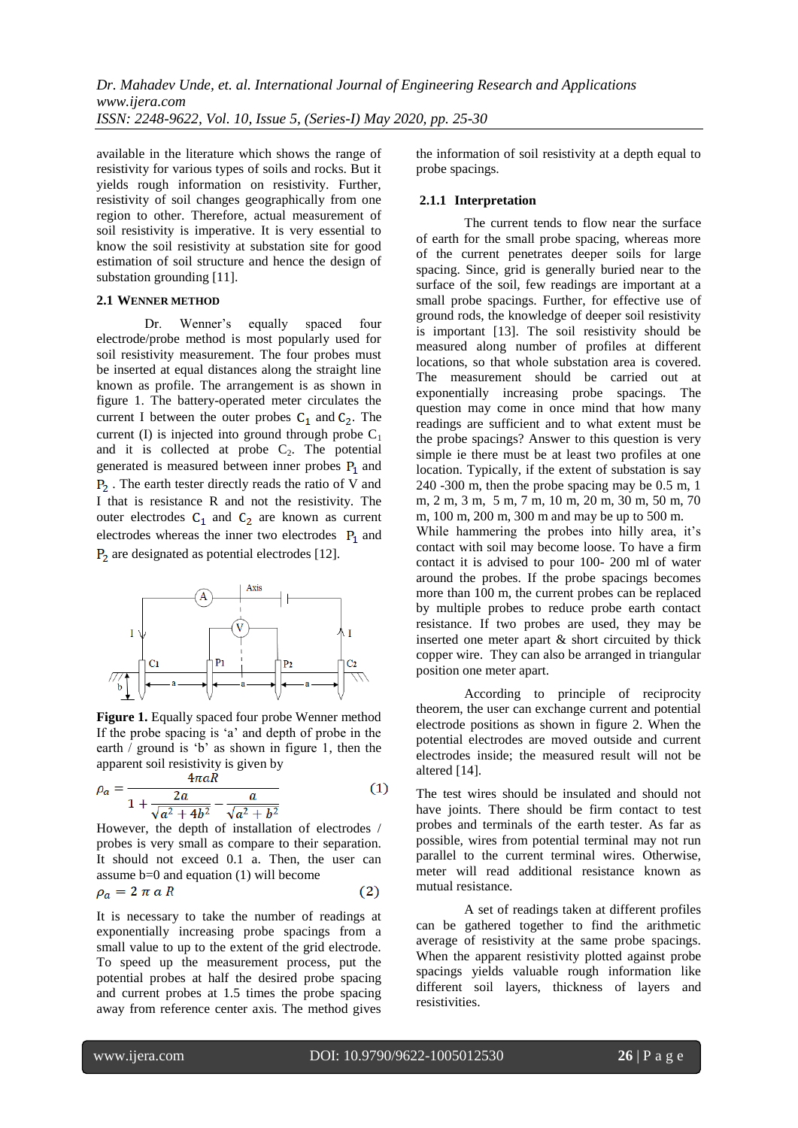available in the literature which shows the range of resistivity for various types of soils and rocks. But it yields rough information on resistivity. Further, resistivity of soil changes geographically from one region to other. Therefore, actual measurement of soil resistivity is imperative. It is very essential to know the soil resistivity at substation site for good estimation of soil structure and hence the design of substation grounding [11].

## **2.1 WENNER METHOD**

Dr. Wenner's equally spaced four electrode/probe method is most popularly used for soil resistivity measurement. The four probes must be inserted at equal distances along the straight line known as profile. The arrangement is as shown in figure 1. The battery-operated meter circulates the current I between the outer probes  $C_1$  and  $C_2$ . The current (I) is injected into ground through probe  $C_1$ and it is collected at probe  $C_2$ . The potential generated is measured between inner probes  $P_1$  and  $P<sub>2</sub>$ . The earth tester directly reads the ratio of V and I that is resistance R and not the resistivity. The outer electrodes  $C_1$  and  $C_2$  are known as current electrodes whereas the inner two electrodes  $P_1$  and  $P_2$  are designated as potential electrodes [12].



**Figure 1.** Equally spaced four probe Wenner method If the probe spacing is "a" and depth of probe in the earth / ground is "b" as shown in figure 1, then the apparent soil resistivity is given by

$$
\rho_a = \frac{4\pi aR}{1 + \frac{2a}{\sqrt{a^2 + 4b^2}} - \frac{a}{\sqrt{a^2 + b^2}}}
$$
(1)

However, the depth of installation of electrodes / probes is very small as compare to their separation. It should not exceed 0.1 a. Then, the user can assume b=0 and equation (1) will become

$$
\rho_a = 2 \pi a R \tag{2}
$$

It is necessary to take the number of readings at exponentially increasing probe spacings from a small value to up to the extent of the grid electrode. To speed up the measurement process, put the potential probes at half the desired probe spacing and current probes at 1.5 times the probe spacing away from reference center axis. The method gives the information of soil resistivity at a depth equal to probe spacings.

## **2.1.1 Interpretation**

The current tends to flow near the surface of earth for the small probe spacing, whereas more of the current penetrates deeper soils for large spacing. Since, grid is generally buried near to the surface of the soil, few readings are important at a small probe spacings. Further, for effective use of ground rods, the knowledge of deeper soil resistivity is important [13]. The soil resistivity should be measured along number of profiles at different locations, so that whole substation area is covered. The measurement should be carried out at exponentially increasing probe spacings. The question may come in once mind that how many readings are sufficient and to what extent must be the probe spacings? Answer to this question is very simple ie there must be at least two profiles at one location. Typically, if the extent of substation is say 240 -300 m, then the probe spacing may be 0.5 m, 1 m, 2 m, 3 m, 5 m, 7 m, 10 m, 20 m, 30 m, 50 m, 70 m, 100 m, 200 m, 300 m and may be up to 500 m.

While hammering the probes into hilly area, it's contact with soil may become loose. To have a firm contact it is advised to pour 100- 200 ml of water around the probes. If the probe spacings becomes more than 100 m, the current probes can be replaced by multiple probes to reduce probe earth contact resistance. If two probes are used, they may be inserted one meter apart & short circuited by thick copper wire. They can also be arranged in triangular position one meter apart.

According to principle of reciprocity theorem, the user can exchange current and potential electrode positions as shown in figure 2. When the potential electrodes are moved outside and current electrodes inside; the measured result will not be altered [14].

The test wires should be insulated and should not have joints. There should be firm contact to test probes and terminals of the earth tester. As far as possible, wires from potential terminal may not run parallel to the current terminal wires. Otherwise, meter will read additional resistance known as mutual resistance.

A set of readings taken at different profiles can be gathered together to find the arithmetic average of resistivity at the same probe spacings. When the apparent resistivity plotted against probe spacings yields valuable rough information like different soil layers, thickness of layers and resistivities.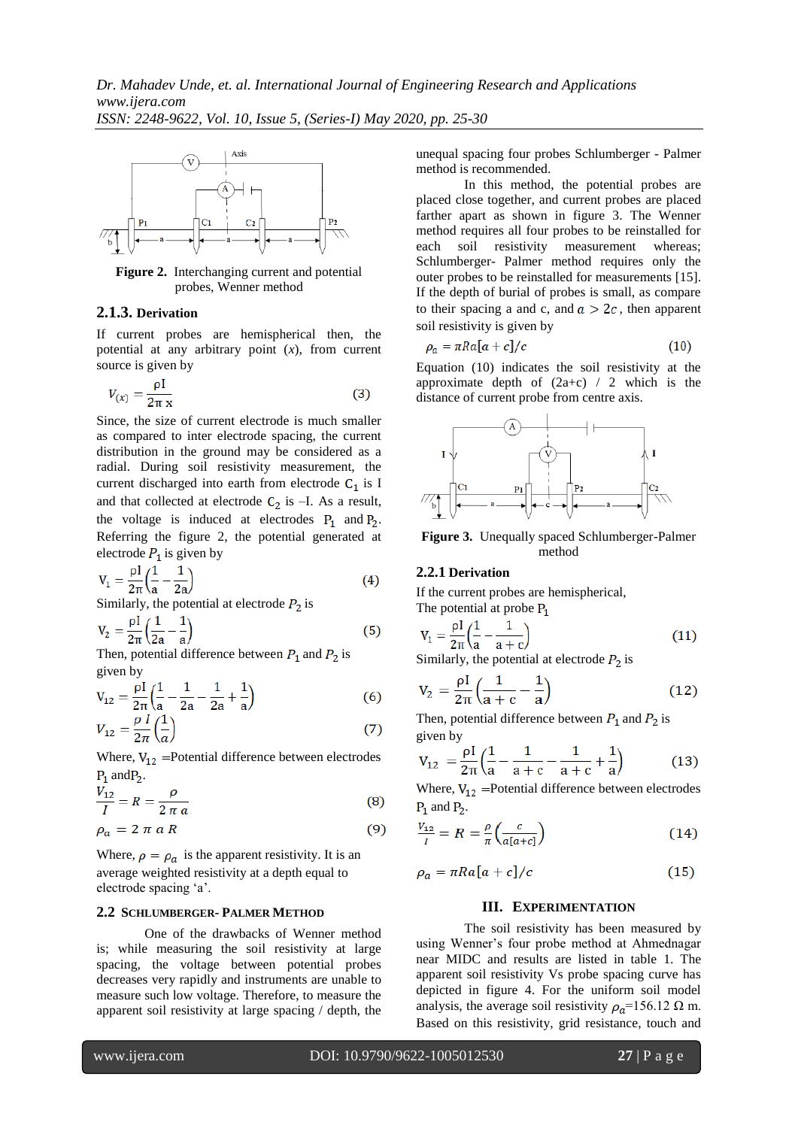

**Figure 2.** Interchanging current and potential probes, Wenner method

## **2.1.3. Derivation**

If current probes are hemispherical then, the potential at any arbitrary point (*x*), from current source is given by

$$
V_{(x)} = \frac{\rho I}{2\pi x} \tag{3}
$$

Since, the size of current electrode is much smaller as compared to inter electrode spacing, the current distribution in the ground may be considered as a radial. During soil resistivity measurement, the current discharged into earth from electrode  $C_1$  is I and that collected at electrode  $C_2$  is –I. As a result, the voltage is induced at electrodes  $P_1$  and  $P_2$ . Referring the figure 2, the potential generated at electrode  $P_1$  is given by

$$
V_1 = \frac{\rho I}{2\pi} \left( \frac{1}{a} - \frac{1}{2a} \right)
$$
 (4)

Similarly, the potential at electrode  $P_2$  is

$$
V_2 = \frac{\rho I}{2\pi} \left(\frac{1}{2a} - \frac{1}{a}\right) \tag{5}
$$

Then, potential difference between  $P_1$  and  $P_2$  is given by

$$
V_{12} = \frac{\rho I}{2\pi} \left( \frac{1}{a} - \frac{1}{2a} - \frac{1}{2a} + \frac{1}{a} \right)
$$
(6)

$$
V_{12} = \frac{\rho}{2\pi} \left(\frac{1}{a}\right) \tag{7}
$$

Where,  $V_{12}$  =Potential difference between electrodes  $P_1$  and  $P_2$ .

$$
\frac{V_{12}}{I} = R = \frac{\rho}{2 \pi a} \tag{8}
$$

$$
\rho_a = 2 \pi a R \tag{9}
$$

Where,  $\rho = \rho_a$  is the apparent resistivity. It is an average weighted resistivity at a depth equal to electrode spacing "a".

#### **2.2 SCHLUMBERGER- PALMER METHOD**

One of the drawbacks of Wenner method is; while measuring the soil resistivity at large spacing, the voltage between potential probes decreases very rapidly and instruments are unable to measure such low voltage. Therefore, to measure the apparent soil resistivity at large spacing / depth, the unequal spacing four probes Schlumberger - Palmer method is recommended.

In this method, the potential probes are placed close together, and current probes are placed farther apart as shown in figure 3. The Wenner method requires all four probes to be reinstalled for each soil resistivity measurement whereas; Schlumberger- Palmer method requires only the outer probes to be reinstalled for measurements [15]. If the depth of burial of probes is small, as compare to their spacing a and c, and  $a > 2c$ , then apparent soil resistivity is given by

$$
\rho_a = \pi R a [a+c]/c \tag{10}
$$

Equation (10) indicates the soil resistivity at the approximate depth of  $(2a+c)$  / 2 which is the distance of current probe from centre axis.



**Figure 3.** Unequally spaced Schlumberger-Palmer method

## **2.2.1 Derivation**

If the current probes are hemispherical, The potential at probe  $P_1$ 

$$
V_1 = \frac{\rho I}{2\pi} \left(\frac{1}{a} - \frac{1}{a+c}\right)
$$
 (11)  
Similarly, the potential at electrode P, is

Similarly, the potential at electrode  $P_2$  is

$$
V_2 = \frac{\rho I}{2\pi} \left( \frac{1}{a+c} - \frac{1}{a} \right)
$$
 (12)

Then, potential difference between  $P_1$  and  $P_2$  is given by

$$
V_{12} = \frac{\rho I}{2\pi} \left( \frac{1}{a} - \frac{1}{a+c} - \frac{1}{a+c} + \frac{1}{a} \right) \tag{13}
$$

Where,  $V_{12}$  = Potential difference between electrodes  $P_1$  and  $P_2$ .

$$
\frac{v_{12}}{I} = R = \frac{\rho}{\pi} \left( \frac{c}{a[a+c]} \right) \tag{14}
$$

$$
\rho_a = \pi R a [a+c]/c \tag{15}
$$

## **III. EXPERIMENTATION**

The soil resistivity has been measured by using Wenner"s four probe method at Ahmednagar near MIDC and results are listed in table 1. The apparent soil resistivity Vs probe spacing curve has depicted in figure 4. For the uniform soil model analysis, the average soil resistivity  $\rho_a$ =156.12  $\Omega$  m. Based on this resistivity, grid resistance, touch and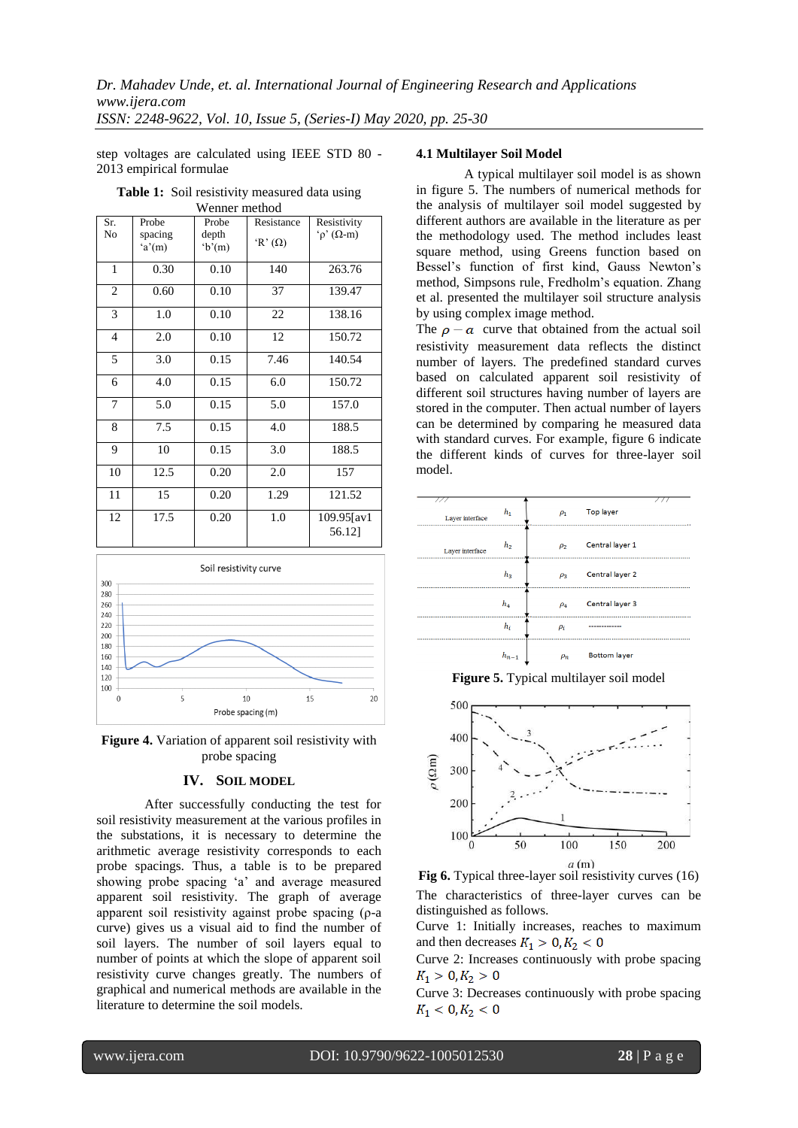step voltages are calculated using IEEE STD 80 - 2013 empirical formulae

| Wenner method  |                  |                |                |                             |  |  |  |  |
|----------------|------------------|----------------|----------------|-----------------------------|--|--|--|--|
| Sr.            | Probe            | Probe          | Resistance     | Resistivity                 |  |  |  |  |
| N <sub>0</sub> | spacing<br>a'(m) | depth<br>b'(m) | 'R' $(\Omega)$ | $\hat{\rho}$ ( $\Omega$ -m) |  |  |  |  |
| 1              | 0.30             | 0.10           | 140            | 263.76                      |  |  |  |  |
| $\overline{c}$ | 0.60             | 0.10           | 37             | 139.47                      |  |  |  |  |
| 3              | 1.0              | 0.10           | 22             | 138.16                      |  |  |  |  |
| 4              | 2.0              | 0.10           | 12             | 150.72                      |  |  |  |  |
| 5              | 3.0              | 0.15           | 7.46           | 140.54                      |  |  |  |  |
| 6              | 4.0              | 0.15           | 6.0            | 150.72                      |  |  |  |  |
| 7              | 5.0              | 0.15           | 5.0            | 157.0                       |  |  |  |  |
| 8              | 7.5              | 0.15           | 4.0            | 188.5                       |  |  |  |  |
| 9              | 10               | 0.15           | 3.0            | 188.5                       |  |  |  |  |
| 10             | 12.5             | 0.20           | 2.0            | 157                         |  |  |  |  |
| 11             | 15               | 0.20           | 1.29           | 121.52                      |  |  |  |  |
| 12             | 17.5             | 0.20           | 1.0            | 109.95[av1<br>56.12]        |  |  |  |  |

**Table 1:** Soil resistivity measured data using



**Figure 4.** Variation of apparent soil resistivity with probe spacing

#### **IV. SOIL MODEL**

After successfully conducting the test for soil resistivity measurement at the various profiles in the substations, it is necessary to determine the arithmetic average resistivity corresponds to each probe spacings. Thus, a table is to be prepared showing probe spacing "a" and average measured apparent soil resistivity. The graph of average apparent soil resistivity against probe spacing (ρ-a curve) gives us a visual aid to find the number of soil layers. The number of soil layers equal to number of points at which the slope of apparent soil resistivity curve changes greatly. The numbers of graphical and numerical methods are available in the literature to determine the soil models.

## **4.1 Multilayer Soil Model**

A typical multilayer soil model is as shown in figure 5. The numbers of numerical methods for the analysis of multilayer soil model suggested by different authors are available in the literature as per the methodology used. The method includes least square method, using Greens function based on Bessel"s function of first kind, Gauss Newton"s method, Simpsons rule, Fredholm"s equation. Zhang et al. presented the multilayer soil structure analysis by using complex image method.

The  $\rho - a$  curve that obtained from the actual soil resistivity measurement data reflects the distinct number of layers. The predefined standard curves based on calculated apparent soil resistivity of different soil structures having number of layers are stored in the computer. Then actual number of layers can be determined by comparing he measured data with standard curves. For example, figure 6 indicate the different kinds of curves for three-layer soil model.

| Layer interface | $h_1$          | $\rho_1$ | Top layer           |  |
|-----------------|----------------|----------|---------------------|--|
| Layer interface | h <sub>2</sub> | $\rho_2$ | Central layer 1     |  |
|                 | h <sub>3</sub> | $\rho_3$ | Central layer 2     |  |
|                 | $h_4$          | $\rho_4$ | Central layer 3     |  |
|                 | $h_i$          | $\rho_i$ |                     |  |
|                 | $h_{n-1}$      | $\rho_n$ | <b>Bottom layer</b> |  |

**Figure 5.** Typical multilayer soil model



![](_page_3_Figure_14.jpeg)

Curve 1: Initially increases, reaches to maximum and then decreases  $K_1 > 0, K_2 < 0$ 

Curve 2: Increases continuously with probe spacing  $K_1 > 0, K_2 > 0$ 

Curve 3: Decreases continuously with probe spacing  $K_1 < 0, K_2 < 0$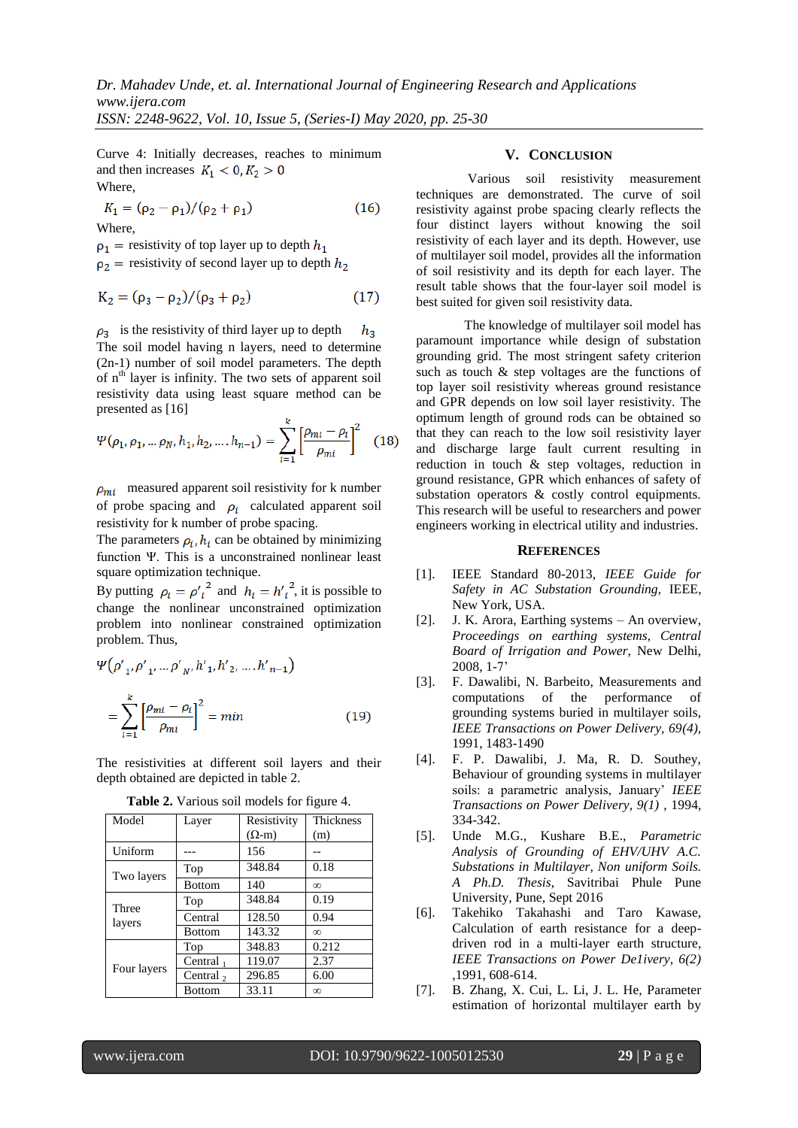Curve 4: Initially decreases, reaches to minimum and then increases  $K_1 < 0, K_2 > 0$ Where,

$$
K_1 = (\rho_2 - \rho_1) / (\rho_2 + \rho_1) \tag{16}
$$

Where,

 $p_1$  = resistivity of top layer up to depth  $h_1$ 

 $\rho_2$  = resistivity of second layer up to depth  $h_2$ 

$$
K_2 = (\rho_3 - \rho_2) / (\rho_3 + \rho_2)
$$
 (17)

 $\rho_3$  is the resistivity of third layer up to depth  $h_3$ The soil model having n layers, need to determine (2n-1) number of soil model parameters. The depth of n<sup>th</sup> layer is infinity. The two sets of apparent soil resistivity data using least square method can be presented as [16]

$$
\Psi(\rho_1, \rho_1, \dots \rho_N, h_1, h_2, \dots, h_{n-1}) = \sum_{i=1}^k \left[ \frac{\rho_{mi} - \rho_i}{\rho_{mi}} \right]^2 \quad (18)
$$

 $\rho_{mi}$  measured apparent soil resistivity for k number of probe spacing and  $\rho_i$  calculated apparent soil resistivity for k number of probe spacing.

The parameters  $\rho_i$ ,  $h_i$  can be obtained by minimizing function Ψ. This is a unconstrained nonlinear least square optimization technique.

By putting  $\rho_i = {\rho'}_i^2$  and  $h_i = {h'}_i^2$ , it is possible to change the nonlinear unconstrained optimization problem into nonlinear constrained optimization problem. Thus,

$$
\Psi(\rho'_{1}, \rho'_{1}, \dots \rho'_{N}, h'_{1}, h'_{2}, \dots, h'_{n-1})
$$
\n
$$
= \sum_{i=1}^{k} \left[ \frac{\rho_{mi} - \rho_{i}}{\rho_{mi}} \right]^{2} = \min \tag{19}
$$

The resistivities at different soil layers and their depth obtained are depicted in table 2.

| Model       | Layer            | Resistivity    | Thickness |
|-------------|------------------|----------------|-----------|
|             |                  | $(\Omega - m)$ | (m)       |
| Uniform     |                  | 156            |           |
| Two layers  | Top              | 348.84         | 0.18      |
|             | <b>Bottom</b>    | 140            | $\infty$  |
| Three       | Top              | 348.84         | 0.19      |
| layers      | Central          | 128.50         | 0.94      |
|             | <b>Bottom</b>    | 143.32         | $\infty$  |
|             | Top              | 348.83         | 0.212     |
| Four layers | Central $_1$     | 119.07         | 2.37      |
|             | Central $\sigma$ | 296.85         | 6.00      |
|             | <b>Bottom</b>    | 33.11          | $\infty$  |

**Table 2.** Various soil models for figure 4.

## **V. CONCLUSION**

Various soil resistivity measurement techniques are demonstrated. The curve of soil resistivity against probe spacing clearly reflects the four distinct layers without knowing the soil resistivity of each layer and its depth. However, use of multilayer soil model, provides all the information of soil resistivity and its depth for each layer. The result table shows that the four-layer soil model is best suited for given soil resistivity data.

The knowledge of multilayer soil model has paramount importance while design of substation grounding grid. The most stringent safety criterion such as touch & step voltages are the functions of top layer soil resistivity whereas ground resistance and GPR depends on low soil layer resistivity. The optimum length of ground rods can be obtained so that they can reach to the low soil resistivity layer and discharge large fault current resulting in reduction in touch & step voltages, reduction in ground resistance, GPR which enhances of safety of substation operators & costly control equipments. This research will be useful to researchers and power engineers working in electrical utility and industries.

#### **REFERENCES**

- [1]. IEEE Standard 80-2013, *IEEE Guide for Safety in AC Substation Grounding,* IEEE, New York, USA.
- [2]. J. K. Arora, Earthing systems An overview, *Proceedings on earthing systems, Central Board of Irrigation and Power*, New Delhi, 2008, 1-7"
- [3]. F. Dawalibi, N. Barbeito, Measurements and computations of the performance of grounding systems buried in multilayer soils, *IEEE Transactions on Power Delivery, 69(4),* 1991, 1483-1490
- [4]. F. P. Dawalibi, J. Ma, R. D. Southey, Behaviour of grounding systems in multilayer soils: a parametric analysis, January" *IEEE Transactions on Power Delivery, 9(1)* , 1994, 334-342.
- [5]. Unde M.G., Kushare B.E., *Parametric Analysis of Grounding of EHV/UHV A.C. Substations in Multilayer, Non uniform Soils. A Ph.D. Thesis*, Savitribai Phule Pune University, Pune, Sept 2016
- [6]. Takehiko Takahashi and Taro Kawase, Calculation of earth resistance for a deepdriven rod in a multi-layer earth structure, *IEEE Transactions on Power De1ivery, 6(2)* ,1991, 608-614.
- [7]. B. Zhang, X. Cui, L. Li, J. L. He, Parameter estimation of horizontal multilayer earth by